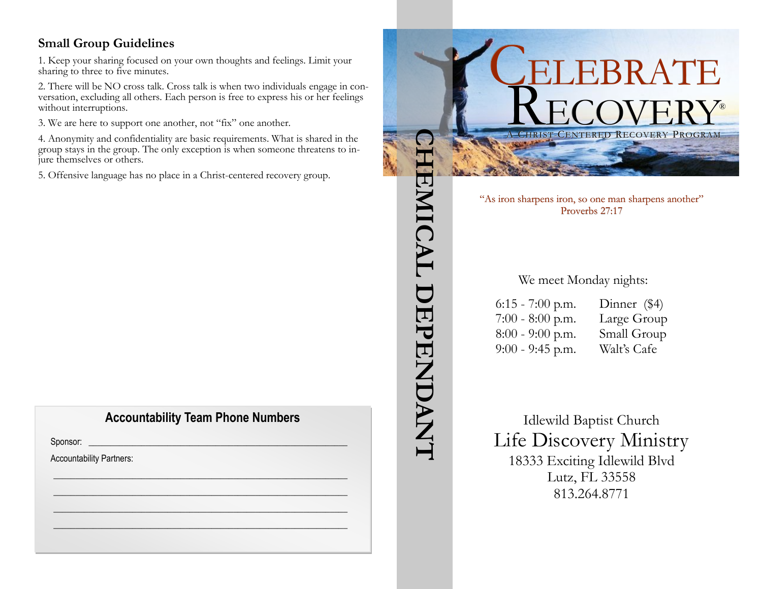#### **Small Group Guidelines**

1. Keep your sharing focused on your own thoughts and feelings. Limit your sharing to three to five minutes.

2. There will be NO cross talk. Cross talk is when two individuals engage in conversation, excluding all others. Each person is free to express his or her feelings without interruptions.

3. We are here to support one another, not "fix" one another.

4. Anonymity and confidentiality are basic requirements. What is shared in the group stays in the group. The only exception is when someone threatens to injure themselves or others.

5. Offensive language has no place in a Christ-centered recovery group.

## **Accountability Team Phone Numbers**

 $\mathscr{L}_\mathscr{L} \mathscr{L}_\mathscr{L} \mathscr{L}_\mathscr{L} \mathscr{L}_\mathscr{L}$  $\frac{1}{2}$  ,  $\frac{1}{2}$  ,  $\frac{1}{2}$  ,  $\frac{1}{2}$  ,  $\frac{1}{2}$  ,  $\frac{1}{2}$  ,  $\frac{1}{2}$  ,  $\frac{1}{2}$  ,  $\frac{1}{2}$  ,  $\frac{1}{2}$ \_\_\_\_\_\_\_\_\_\_\_\_\_\_\_\_\_\_\_\_\_\_\_\_\_\_\_\_\_\_\_\_\_\_\_\_\_\_\_\_\_\_\_\_\_\_\_\_\_\_\_\_\_\_\_\_\_\_\_\_\_\_\_\_\_\_\_ \_\_\_\_\_\_\_\_\_\_\_\_\_\_\_\_\_\_\_\_\_\_\_\_\_\_\_\_\_\_\_\_\_\_\_\_\_\_\_\_\_\_\_\_\_\_\_\_\_\_\_\_\_\_\_\_\_\_\_\_\_\_\_\_\_\_\_

Sponsor: \_\_\_\_\_\_\_\_\_\_\_\_\_\_\_\_\_\_\_\_\_\_\_\_\_\_\_\_\_\_\_\_\_\_\_\_\_\_\_\_\_\_\_\_\_\_\_\_\_\_\_\_\_\_\_\_\_\_\_

Accountability Partners:



813.264.8771